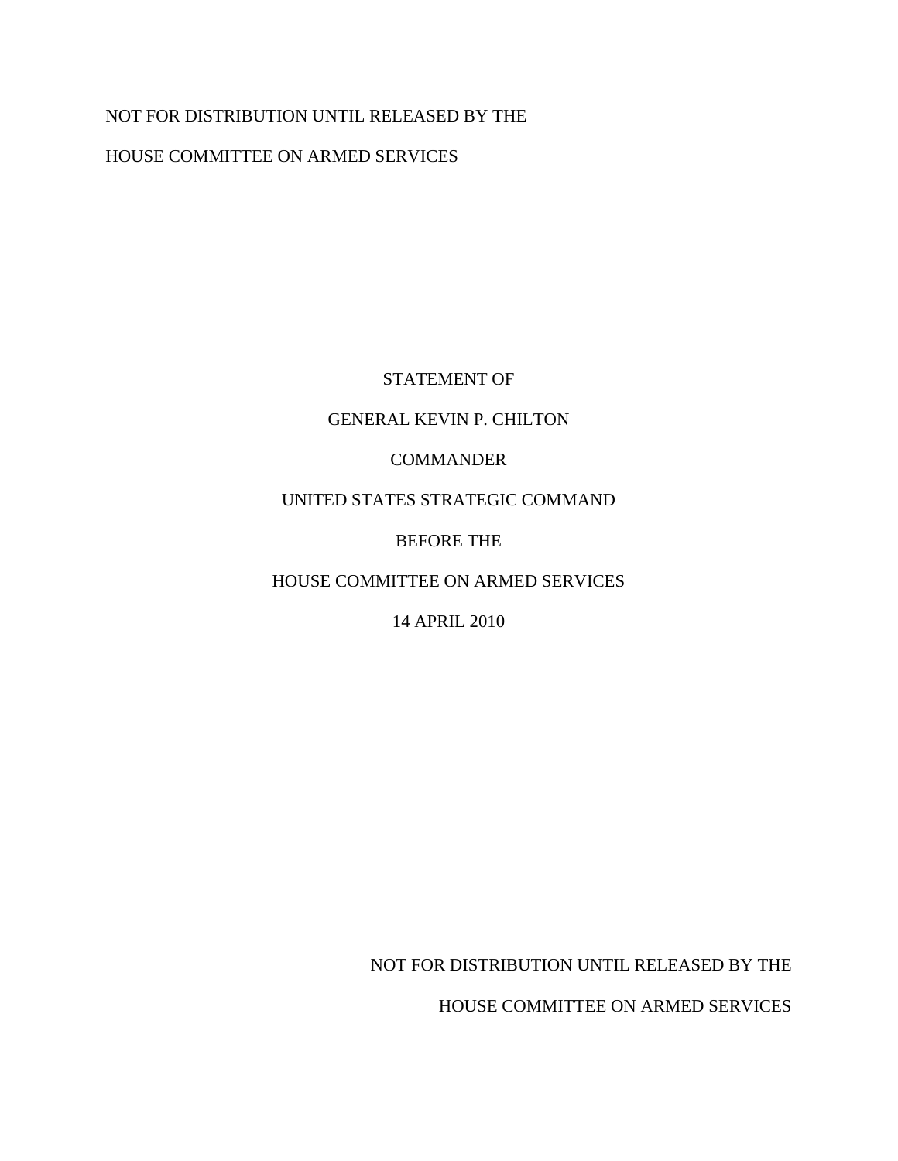## NOT FOR DISTRIBUTION UNTIL RELEASED BY THE

HOUSE COMMITTEE ON ARMED SERVICES

# STATEMENT OF

### GENERAL KEVIN P. CHILTON

## COMMANDER

# UNITED STATES STRATEGIC COMMAND

# BEFORE THE

# HOUSE COMMITTEE ON ARMED SERVICES

# 14 APRIL 2010

NOT FOR DISTRIBUTION UNTIL RELEASED BY THE

HOUSE COMMITTEE ON ARMED SERVICES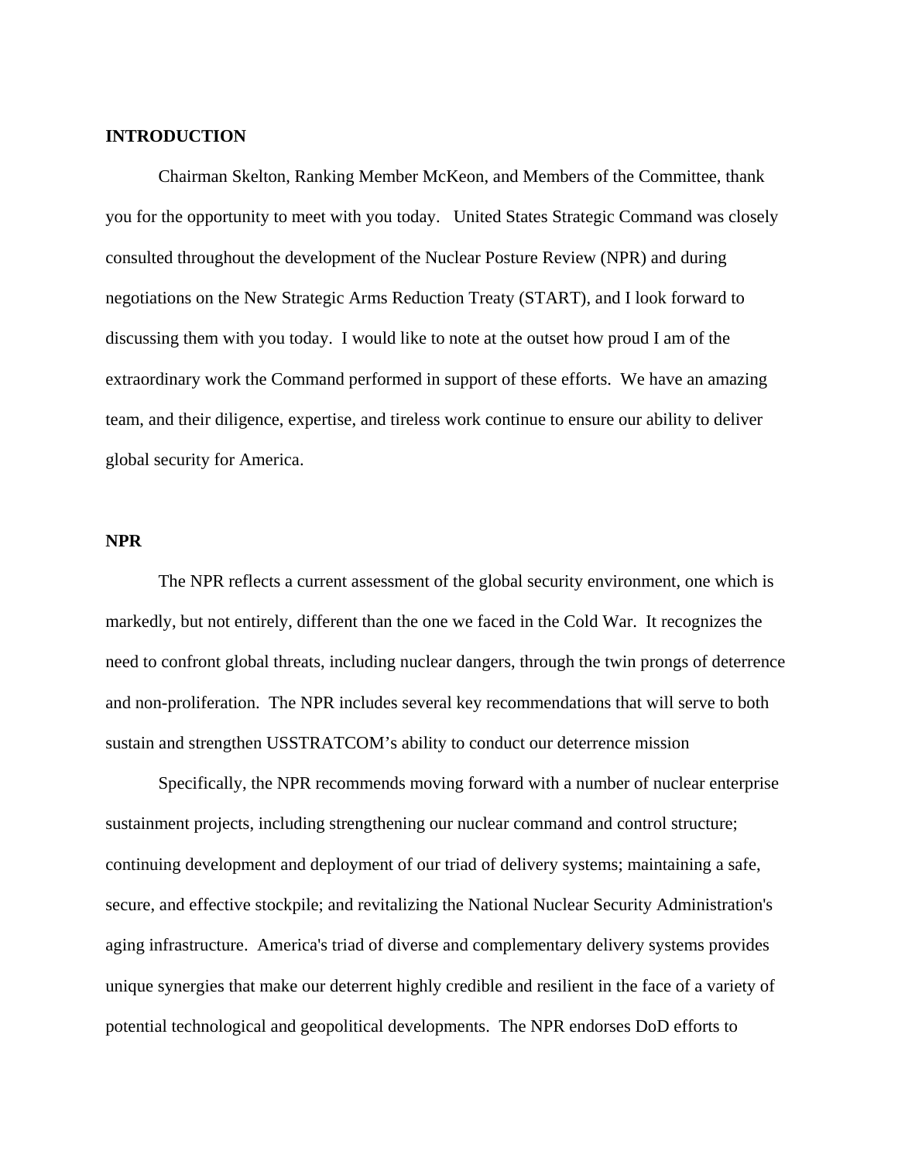#### **INTRODUCTION**

 Chairman Skelton, Ranking Member McKeon, and Members of the Committee, thank you for the opportunity to meet with you today. United States Strategic Command was closely consulted throughout the development of the Nuclear Posture Review (NPR) and during negotiations on the New Strategic Arms Reduction Treaty (START), and I look forward to discussing them with you today. I would like to note at the outset how proud I am of the extraordinary work the Command performed in support of these efforts. We have an amazing team, and their diligence, expertise, and tireless work continue to ensure our ability to deliver global security for America.

#### **NPR**

 The NPR reflects a current assessment of the global security environment, one which is markedly, but not entirely, different than the one we faced in the Cold War. It recognizes the need to confront global threats, including nuclear dangers, through the twin prongs of deterrence and non-proliferation. The NPR includes several key recommendations that will serve to both sustain and strengthen USSTRATCOM's ability to conduct our deterrence mission

 Specifically, the NPR recommends moving forward with a number of nuclear enterprise sustainment projects, including strengthening our nuclear command and control structure; continuing development and deployment of our triad of delivery systems; maintaining a safe, secure, and effective stockpile; and revitalizing the National Nuclear Security Administration's aging infrastructure. America's triad of diverse and complementary delivery systems provides unique synergies that make our deterrent highly credible and resilient in the face of a variety of potential technological and geopolitical developments. The NPR endorses DoD efforts to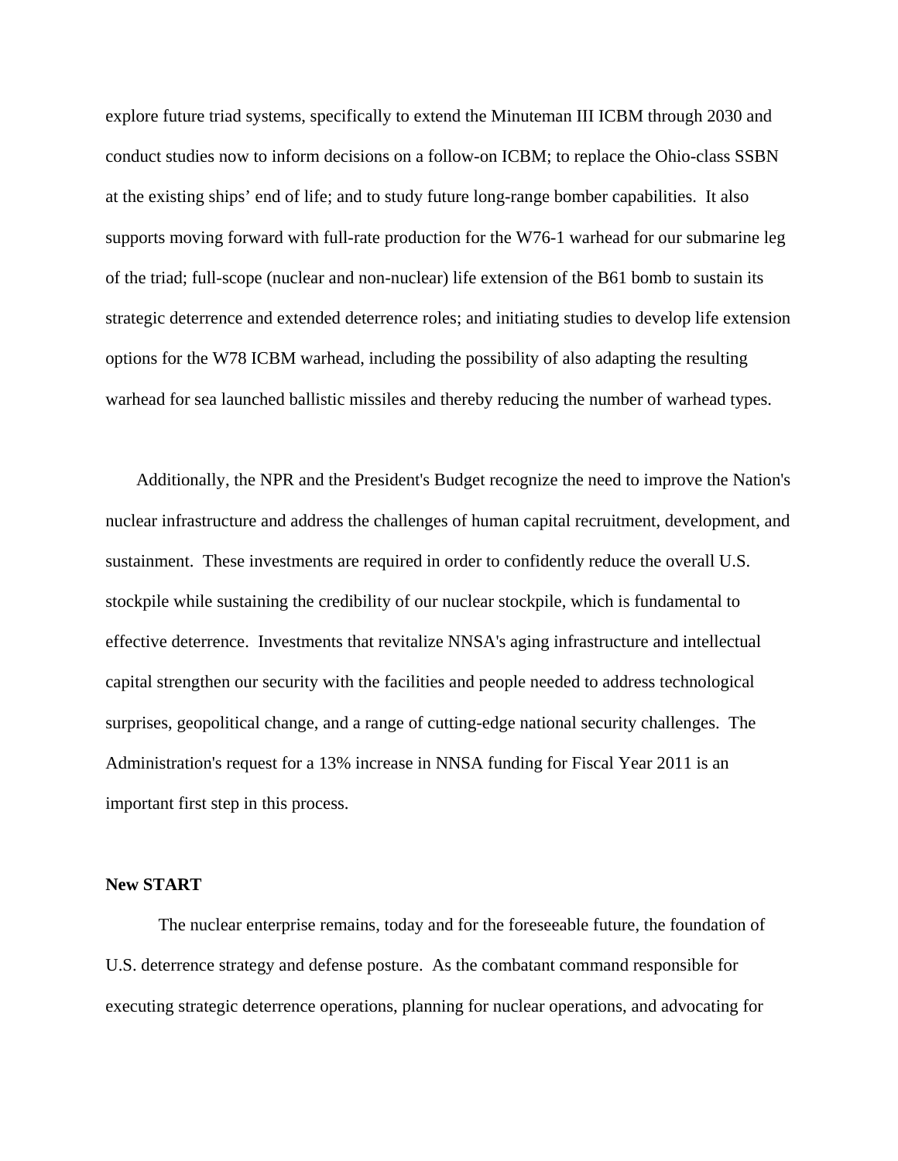explore future triad systems, specifically to extend the Minuteman III ICBM through 2030 and conduct studies now to inform decisions on a follow-on ICBM; to replace the Ohio-class SSBN at the existing ships' end of life; and to study future long-range bomber capabilities. It also supports moving forward with full-rate production for the W76-1 warhead for our submarine leg of the triad; full-scope (nuclear and non-nuclear) life extension of the B61 bomb to sustain its strategic deterrence and extended deterrence roles; and initiating studies to develop life extension options for the W78 ICBM warhead, including the possibility of also adapting the resulting warhead for sea launched ballistic missiles and thereby reducing the number of warhead types.

 Additionally, the NPR and the President's Budget recognize the need to improve the Nation's nuclear infrastructure and address the challenges of human capital recruitment, development, and sustainment. These investments are required in order to confidently reduce the overall U.S. stockpile while sustaining the credibility of our nuclear stockpile, which is fundamental to effective deterrence. Investments that revitalize NNSA's aging infrastructure and intellectual capital strengthen our security with the facilities and people needed to address technological surprises, geopolitical change, and a range of cutting-edge national security challenges. The Administration's request for a 13% increase in NNSA funding for Fiscal Year 2011 is an important first step in this process.

#### **New START**

 The nuclear enterprise remains, today and for the foreseeable future, the foundation of U.S. deterrence strategy and defense posture. As the combatant command responsible for executing strategic deterrence operations, planning for nuclear operations, and advocating for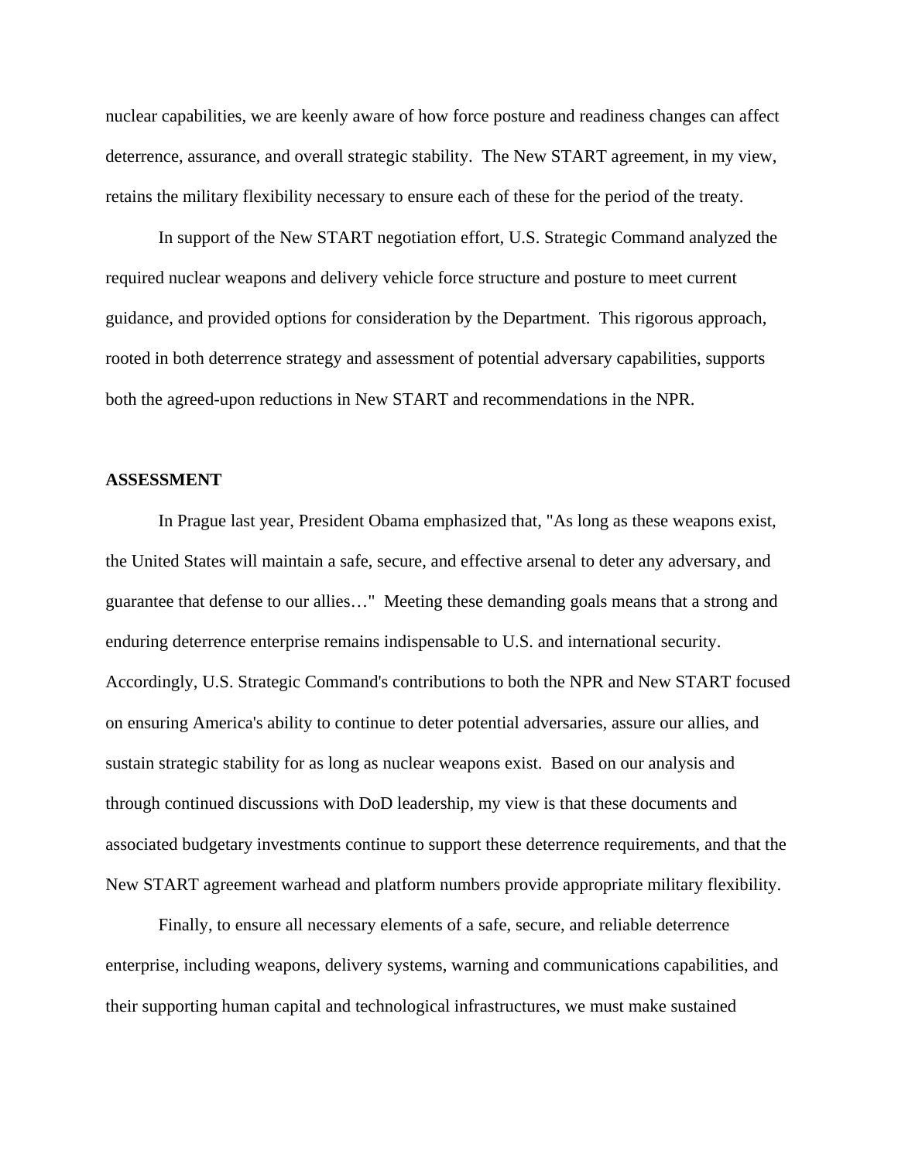nuclear capabilities, we are keenly aware of how force posture and readiness changes can affect deterrence, assurance, and overall strategic stability. The New START agreement, in my view, retains the military flexibility necessary to ensure each of these for the period of the treaty.

 In support of the New START negotiation effort, U.S. Strategic Command analyzed the required nuclear weapons and delivery vehicle force structure and posture to meet current guidance, and provided options for consideration by the Department. This rigorous approach, rooted in both deterrence strategy and assessment of potential adversary capabilities, supports both the agreed-upon reductions in New START and recommendations in the NPR.

#### **ASSESSMENT**

 In Prague last year, President Obama emphasized that, "As long as these weapons exist, the United States will maintain a safe, secure, and effective arsenal to deter any adversary, and guarantee that defense to our allies…" Meeting these demanding goals means that a strong and enduring deterrence enterprise remains indispensable to U.S. and international security. Accordingly, U.S. Strategic Command's contributions to both the NPR and New START focused on ensuring America's ability to continue to deter potential adversaries, assure our allies, and sustain strategic stability for as long as nuclear weapons exist. Based on our analysis and through continued discussions with DoD leadership, my view is that these documents and associated budgetary investments continue to support these deterrence requirements, and that the New START agreement warhead and platform numbers provide appropriate military flexibility.

 Finally, to ensure all necessary elements of a safe, secure, and reliable deterrence enterprise, including weapons, delivery systems, warning and communications capabilities, and their supporting human capital and technological infrastructures, we must make sustained